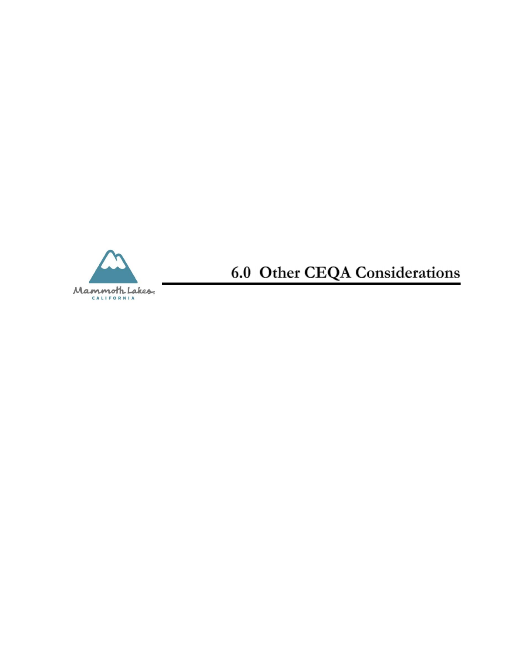

**6.0 Other CEQA Considerations**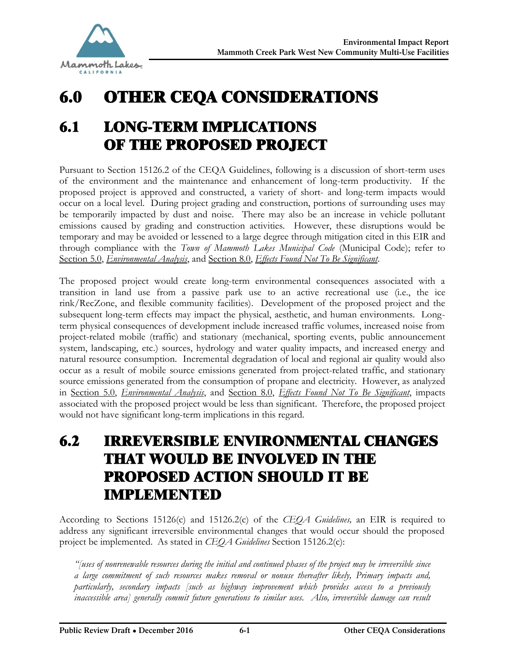

# 6.0 OTHER CEQA CONSIDERATIONS

# 6.1 LONG-TERM IMPLICATIONS OF THE PROPOSED PROJECT

Pursuant to Section 15126.2 of the CEQA Guidelines, following is a discussion of short-term uses of the environment and the maintenance and enhancement of long-term productivity. If the proposed project is approved and constructed, a variety of short- and long-term impacts would occur on a local level. During project grading and construction, portions of surrounding uses may be temporarily impacted by dust and noise. There may also be an increase in vehicle pollutant emissions caused by grading and construction activities. However, these disruptions would be temporary and may be avoided or lessened to a large degree through mitigation cited in this EIR and through compliance with the *Town of Mammoth Lakes Municipal Code* (Municipal Code); refer to Section 5.0, *Environmental Analysis*, and Section 8.0, *Effects Found Not To Be Significant*.

The proposed project would create long-term environmental consequences associated with a transition in land use from a passive park use to an active recreational use (i.e., the ice rink/RecZone, and flexible community facilities). Development of the proposed project and the subsequent long-term effects may impact the physical, aesthetic, and human environments. Longterm physical consequences of development include increased traffic volumes, increased noise from project-related mobile (traffic) and stationary (mechanical, sporting events, public announcement system, landscaping, etc.) sources, hydrology and water quality impacts, and increased energy and natural resource consumption. Incremental degradation of local and regional air quality would also occur as a result of mobile source emissions generated from project-related traffic, and stationary source emissions generated from the consumption of propane and electricity. However, as analyzed in Section 5.0, *Environmental Analysis*, and Section 8.0, *Effects Found Not To Be Significant*, impacts associated with the proposed project would be less than significant. Therefore, the proposed project would not have significant long-term implications in this regard.

# 6.2 IRREVERSIBLE ENVIRONMENTAL CHANGES THAT WOULD BE INVOLVED IN THE PROPOSED ACTION SHOULD IT BE IMPLEMENTED

According to Sections 15126(c) and 15126.2(c) of the *CEQA Guidelines,* an EIR is required to address any significant irreversible environmental changes that would occur should the proposed project be implemented. As stated in *CEQA Guidelines* Section 15126.2(c):

*"[uses of nonrenewable resources during the initial and continued phases of the project may be irreversible since a large commitment of such resources makes removal or nonuse thereafter likely, Primary impacts and, particularly, secondary impacts [such as highway improvement which provides access to a previously inaccessible area] generally commit future generations to similar uses. Also, irreversible damage can result*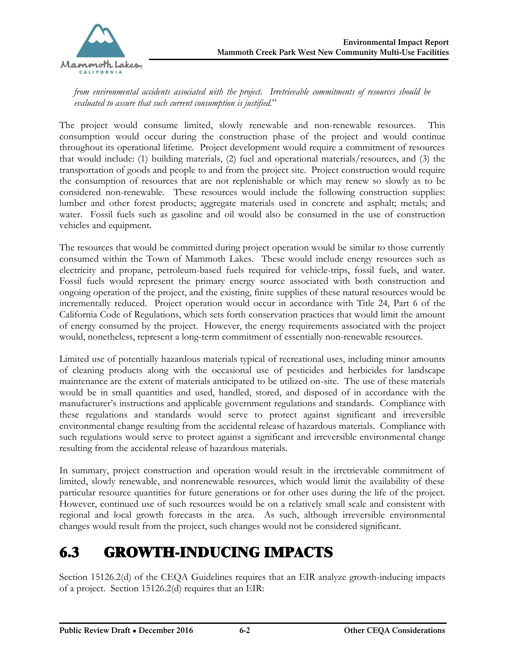

*from environmental accidents associated with the project. Irretrievable commitments of resources should be evaluated to assure that such current consumption is justified.*"

The project would consume limited, slowly renewable and non-renewable resources. This consumption would occur during the construction phase of the project and would continue throughout its operational lifetime. Project development would require a commitment of resources that would include: (1) building materials, (2) fuel and operational materials/resources, and (3) the transportation of goods and people to and from the project site. Project construction would require the consumption of resources that are not replenishable or which may renew so slowly as to be considered non-renewable. These resources would include the following construction supplies: lumber and other forest products; aggregate materials used in concrete and asphalt; metals; and water. Fossil fuels such as gasoline and oil would also be consumed in the use of construction vehicles and equipment.

The resources that would be committed during project operation would be similar to those currently consumed within the Town of Mammoth Lakes. These would include energy resources such as electricity and propane, petroleum-based fuels required for vehicle-trips, fossil fuels, and water. Fossil fuels would represent the primary energy source associated with both construction and ongoing operation of the project, and the existing, finite supplies of these natural resources would be incrementally reduced. Project operation would occur in accordance with Title 24, Part 6 of the California Code of Regulations, which sets forth conservation practices that would limit the amount of energy consumed by the project. However, the energy requirements associated with the project would, nonetheless, represent a long-term commitment of essentially non-renewable resources.

Limited use of potentially hazardous materials typical of recreational uses, including minor amounts of cleaning products along with the occasional use of pesticides and herbicides for landscape maintenance are the extent of materials anticipated to be utilized on-site. The use of these materials would be in small quantities and used, handled, stored, and disposed of in accordance with the manufacturer's instructions and applicable government regulations and standards. Compliance with these regulations and standards would serve to protect against significant and irreversible environmental change resulting from the accidental release of hazardous materials. Compliance with such regulations would serve to protect against a significant and irreversible environmental change resulting from the accidental release of hazardous materials.

In summary, project construction and operation would result in the irretrievable commitment of limited, slowly renewable, and nonrenewable resources, which would limit the availability of these particular resource quantities for future generations or for other uses during the life of the project. However, continued use of such resources would be on a relatively small scale and consistent with regional and local growth forecasts in the area. As such, although irreversible environmental changes would result from the project, such changes would not be considered significant.

# 6.3 GROWTH-INDUCING IMPACTS

Section 15126.2(d) of the CEQA Guidelines requires that an EIR analyze growth-inducing impacts of a project. Section 15126.2(d) requires that an EIR: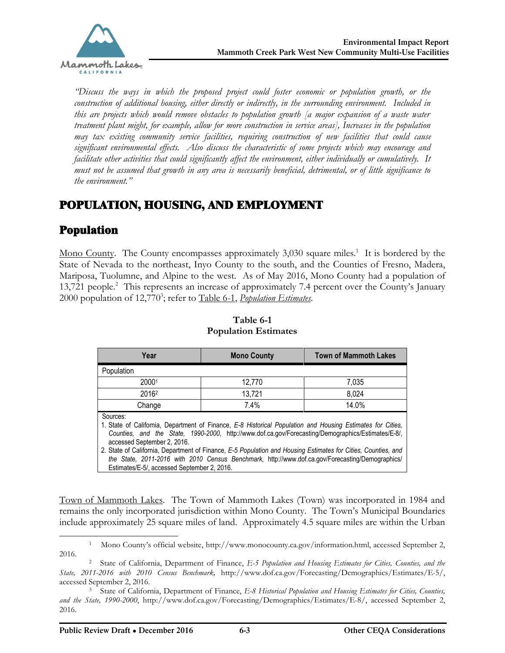

*"Discuss the ways in which the proposed project could foster economic or population growth, or the construction of additional housing, either directly or indirectly, in the surrounding environment. Included in this are projects which would remove obstacles to population growth [a major expansion of a waste water treatment plant might, for example, allow for more construction in service areas], Increases in the population may tax existing community service facilities, requiring construction of new facilities that could cause significant environmental effects. Also discuss the characteristic of some projects which may encourage and facilitate other activities that could significantly affect the environment, either individually or cumulatively. It must not be assumed that growth in any area is necessarily beneficial, detrimental, or of little significance to the environment."*

## POPULATION, HOUSING, AND EMPLOYMENT

## Population

Mono County. The County encompasses approximately 3,030 square miles.<sup>1</sup> It is bordered by the State of Nevada to the northeast, Inyo County to the south, and the Counties of Fresno, Madera, Mariposa, Tuolumne, and Alpine to the west. As of May 2016, Mono County had a population of 13,721 people.<sup>2</sup> This represents an increase of approximately 7.4 percent over the County's January 2000 population of 12,770<sup>3</sup>; refer to Table 6-1, *Population Estimates*.

| Year                                                                                                                                                                                                                                                                                                                                                                                                                                                                                                                            | <b>Mono County</b> | <b>Town of Mammoth Lakes</b> |
|---------------------------------------------------------------------------------------------------------------------------------------------------------------------------------------------------------------------------------------------------------------------------------------------------------------------------------------------------------------------------------------------------------------------------------------------------------------------------------------------------------------------------------|--------------------|------------------------------|
| Population                                                                                                                                                                                                                                                                                                                                                                                                                                                                                                                      |                    |                              |
| 20001                                                                                                                                                                                                                                                                                                                                                                                                                                                                                                                           | 12,770             | 7,035                        |
| 2016 <sup>2</sup>                                                                                                                                                                                                                                                                                                                                                                                                                                                                                                               | 13,721             | 8,024                        |
| Change                                                                                                                                                                                                                                                                                                                                                                                                                                                                                                                          | 7.4%               | 14.0%                        |
| Sources:<br>1. State of California, Department of Finance, E-8 Historical Population and Housing Estimates for Cities,<br>Counties, and the State, 1990-2000, http://www.dof.ca.gov/Forecasting/Demographics/Estimates/E-8/,<br>accessed September 2, 2016.<br>2. State of California, Department of Finance, E-5 Population and Housing Estimates for Cities, Counties, and<br>the State, 2011-2016 with 2010 Census Benchmark, http://www.dof.ca.gov/Forecasting/Demographics/<br>Estimates/E-5/, accessed September 2, 2016. |                    |                              |

#### **Table 6-1 Population Estimates**

Town of Mammoth Lakes. The Town of Mammoth Lakes (Town) was incorporated in 1984 and remains the only incorporated jurisdiction within Mono County. The Town's Municipal Boundaries include approximately 25 square miles of land. Approximately 4.5 square miles are within the Urban

 $\overline{a}$ <sup>1</sup> Mono County's official website, [http://www.monocounty.ca.gov/information.html, accessed September 2,](http://www.monocounty.ca.gov/information.html, accessed September 2, )  2016.

<sup>2</sup> State of California, Department of Finance, *E-5 Population and Housing Estimates for Cities, Counties, and the State, 2011-2016 with 2010 Census Benchmark,* [http://www.dof.ca.gov/Forecasting/Demographics/Estimates/E-5/,](http://www.dof.ca.gov/Forecasting/Demographics/Estimates/E-5/, )  accessed September 2, 2016.

<sup>3</sup> State of California, Department of Finance, *E-8 Historical Population and Housing Estimates for Cities, Counties, and the State, 1990-2000*, [http://www.dof.ca.gov/Forecasting/Demographics/Estimates/E-8/, accessed September 2,](http://www.dof.ca.gov/Forecasting/Demographics/Estimates/E-8/, accessed September 2, )  2016.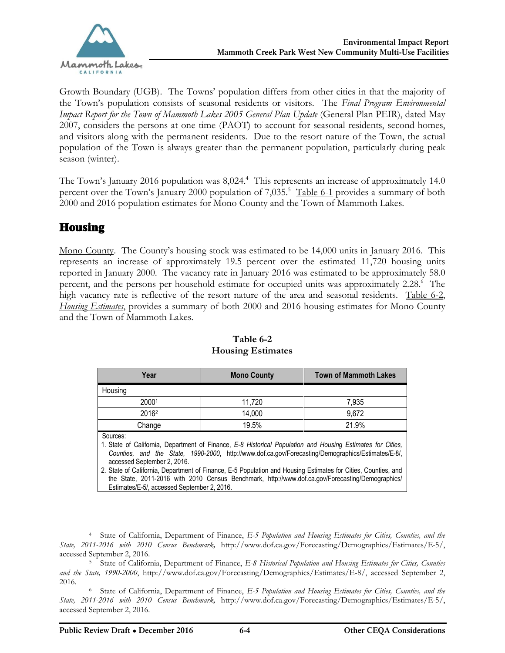

Growth Boundary (UGB). The Towns' population differs from other cities in that the majority of the Town's population consists of seasonal residents or visitors. The *Final Program Environmental Impact Report for the Town of Mammoth Lakes 2005 General Plan Update (General Plan PEIR)*, dated May 2007, considers the persons at one time (PAOT) to account for seasonal residents, second homes, and visitors along with the permanent residents. Due to the resort nature of the Town, the actual population of the Town is always greater than the permanent population, particularly during peak season (winter).

The Town's January 2016 population was 8,024. 4 This represents an increase of approximately 14.0 percent over the Town's January 2000 population of 7,035.<sup>5</sup> Table 6-1 provides a summary of both 2000 and 2016 population estimates for Mono County and the Town of Mammoth Lakes.

## **Housing**

 $\overline{a}$ 

Mono County. The County's housing stock was estimated to be 14,000 units in January 2016. This represents an increase of approximately 19.5 percent over the estimated 11,720 housing units reported in January 2000. The vacancy rate in January 2016 was estimated to be approximately 58.0 percent, and the persons per household estimate for occupied units was approximately 2.28. 6 The high vacancy rate is reflective of the resort nature of the area and seasonal residents. Table 6-2, *Housing Estimates*, provides a summary of both 2000 and 2016 housing estimates for Mono County and the Town of Mammoth Lakes.

| Year                                                                                                                                                                                                                                                                                                                                                                                                                                                                                                                            | <b>Mono County</b> | <b>Town of Mammoth Lakes</b> |  |
|---------------------------------------------------------------------------------------------------------------------------------------------------------------------------------------------------------------------------------------------------------------------------------------------------------------------------------------------------------------------------------------------------------------------------------------------------------------------------------------------------------------------------------|--------------------|------------------------------|--|
| Housing                                                                                                                                                                                                                                                                                                                                                                                                                                                                                                                         |                    |                              |  |
| 20001                                                                                                                                                                                                                                                                                                                                                                                                                                                                                                                           | 11,720             | 7,935                        |  |
| 2016 <sup>2</sup>                                                                                                                                                                                                                                                                                                                                                                                                                                                                                                               | 14,000             | 9,672                        |  |
| Change                                                                                                                                                                                                                                                                                                                                                                                                                                                                                                                          | 19.5%              | 21.9%                        |  |
| Sources:<br>1. State of California, Department of Finance, E-8 Historical Population and Housing Estimates for Cities,<br>Counties, and the State, 1990-2000, http://www.dof.ca.gov/Forecasting/Demographics/Estimates/E-8/,<br>accessed September 2, 2016.<br>2. State of California, Department of Finance, E-5 Population and Housing Estimates for Cities, Counties, and<br>the State, 2011-2016 with 2010 Census Benchmark, http://www.dof.ca.gov/Forecasting/Demographics/<br>Estimates/E-5/, accessed September 2, 2016. |                    |                              |  |

#### **Table 6-2 Housing Estimates**

<sup>4</sup> State of California, Department of Finance, *E-5 Population and Housing Estimates for Cities, Counties, and the State, 2011-2016 with 2010 Census Benchmark,* [http://www.dof.ca.gov/Forecasting/Demographics/Estimates/E-5/,](http://www.dof.ca.gov/Forecasting/Demographics/Estimates/E-5/, )  accessed September 2, 2016.

<sup>5</sup> State of California, Department of Finance, *E-8 Historical Population and Housing Estimates for Cities, Counties and the State, 1990-2000*, [http://www.dof.ca.gov/Forecasting/Demographics/Estimates/E-8/, accessed September 2,](http://www.dof.ca.gov/Forecasting/Demographics/Estimates/E-8/, accessed September 2, )  2016.

<sup>6</sup> State of California, Department of Finance, *E-5 Population and Housing Estimates for Cities, Counties, and the State, 2011-2016 with 2010 Census Benchmark,* [http://www.dof.ca.gov/Forecasting/Demographics/Estimates/E-5/,](http://www.dof.ca.gov/Forecasting/Demographics/Estimates/E-5/, )  accessed September 2, 2016.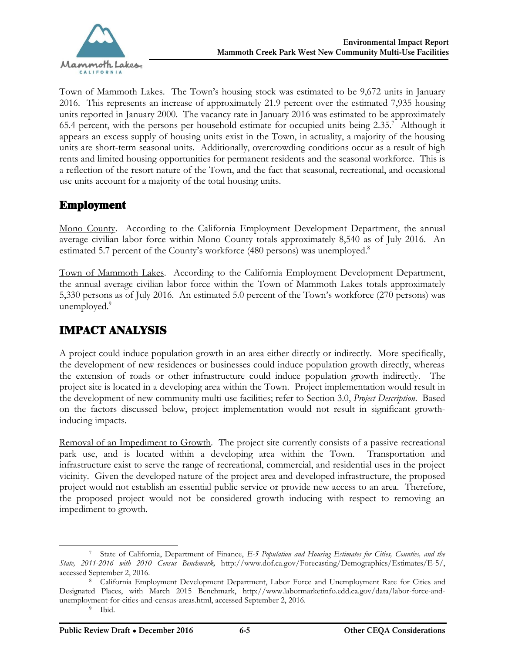

Town of Mammoth Lakes. The Town's housing stock was estimated to be 9,672 units in January 2016. This represents an increase of approximately 21.9 percent over the estimated 7,935 housing units reported in January 2000. The vacancy rate in January 2016 was estimated to be approximately 65.4 percent, with the persons per household estimate for occupied units being 2.35. 7 Although it appears an excess supply of housing units exist in the Town, in actuality, a majority of the housing units are short-term seasonal units. Additionally, overcrowding conditions occur as a result of high rents and limited housing opportunities for permanent residents and the seasonal workforce. This is a reflection of the resort nature of the Town, and the fact that seasonal, recreational, and occasional use units account for a majority of the total housing units.

#### Employment

Mono County. According to the California Employment Development Department, the annual average civilian labor force within Mono County totals approximately 8,540 as of July 2016. An estimated 5.7 percent of the County's workforce (480 persons) was unemployed.<sup>8</sup>

Town of Mammoth Lakes. According to the California Employment Development Department, the annual average civilian labor force within the Town of Mammoth Lakes totals approximately 5,330 persons as of July 2016. An estimated 5.0 percent of the Town's workforce (270 persons) was unemployed.<sup>9</sup>

## IMPACT ANALYSIS

A project could induce population growth in an area either directly or indirectly. More specifically, the development of new residences or businesses could induce population growth directly, whereas the extension of roads or other infrastructure could induce population growth indirectly. The project site is located in a developing area within the Town. Project implementation would result in the development of new community multi-use facilities; refer to Section 3.0, *Project Description*. Based on the factors discussed below, project implementation would not result in significant growthinducing impacts.

Removal of an Impediment to Growth. The project site currently consists of a passive recreational park use, and is located within a developing area within the Town. Transportation and infrastructure exist to serve the range of recreational, commercial, and residential uses in the project vicinity. Given the developed nature of the project area and developed infrastructure, the proposed project would not establish an essential public service or provide new access to an area. Therefore, the proposed project would not be considered growth inducing with respect to removing an impediment to growth.

 $\overline{a}$ 

<sup>7</sup> State of California, Department of Finance, *E-5 Population and Housing Estimates for Cities, Counties, and the State, 2011-2016 with 2010 Census Benchmark,* [http://www.dof.ca.gov/Forecasting/Demographics/Estimates/E-5/,](http://www.dof.ca.gov/Forecasting/Demographics/Estimates/E-5/, )  accessed September 2, 2016.

<sup>8</sup> California Employment Development Department, Labor Force and Unemployment Rate for Cities and Designated Places, with March 2015 Benchmark, [http://www.labormarketinfo.edd.ca.gov/data/labor-force-and](http://www.labormarketinfo.edd.ca.gov/data/labor-force-and-)unemployment-for-cities-and-census-areas.html, accessed September 2, 2016.

<sup>9</sup> Ibid.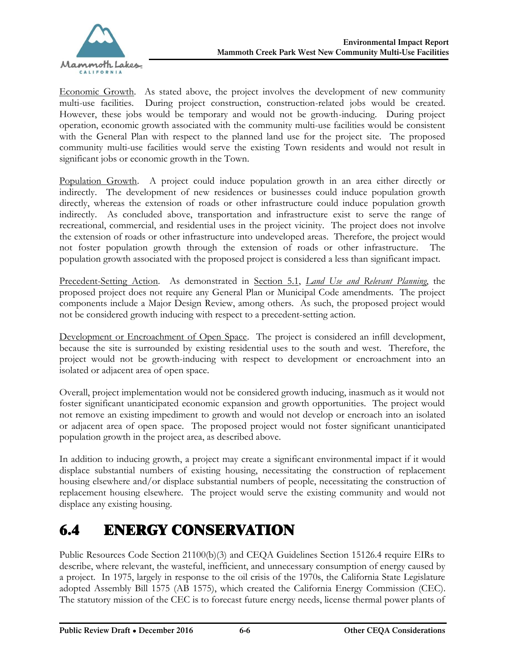

Economic Growth. As stated above, the project involves the development of new community multi-use facilities. During project construction, construction-related jobs would be created. However, these jobs would be temporary and would not be growth-inducing. During project operation, economic growth associated with the community multi-use facilities would be consistent with the General Plan with respect to the planned land use for the project site. The proposed community multi-use facilities would serve the existing Town residents and would not result in significant jobs or economic growth in the Town.

Population Growth. A project could induce population growth in an area either directly or indirectly. The development of new residences or businesses could induce population growth directly, whereas the extension of roads or other infrastructure could induce population growth indirectly. As concluded above, transportation and infrastructure exist to serve the range of recreational, commercial, and residential uses in the project vicinity. The project does not involve the extension of roads or other infrastructure into undeveloped areas. Therefore, the project would not foster population growth through the extension of roads or other infrastructure. The population growth associated with the proposed project is considered a less than significant impact.

Precedent-Setting Action. As demonstrated in Section 5.1, *Land Use and Relevant Planning*, the proposed project does not require any General Plan or Municipal Code amendments. The project components include a Major Design Review, among others. As such, the proposed project would not be considered growth inducing with respect to a precedent-setting action.

Development or Encroachment of Open Space. The project is considered an infill development, because the site is surrounded by existing residential uses to the south and west. Therefore, the project would not be growth-inducing with respect to development or encroachment into an isolated or adjacent area of open space.

Overall, project implementation would not be considered growth inducing, inasmuch as it would not foster significant unanticipated economic expansion and growth opportunities. The project would not remove an existing impediment to growth and would not develop or encroach into an isolated or adjacent area of open space. The proposed project would not foster significant unanticipated population growth in the project area, as described above.

In addition to inducing growth, a project may create a significant environmental impact if it would displace substantial numbers of existing housing, necessitating the construction of replacement housing elsewhere and/or displace substantial numbers of people, necessitating the construction of replacement housing elsewhere. The project would serve the existing community and would not displace any existing housing.

# 6.4 ENERGY CONSERVATION

Public Resources Code Section 21100(b)(3) and CEQA Guidelines Section 15126.4 require EIRs to describe, where relevant, the wasteful, inefficient, and unnecessary consumption of energy caused by a project. In 1975, largely in response to the oil crisis of the 1970s, the California State Legislature adopted Assembly Bill 1575 (AB 1575), which created the California Energy Commission (CEC). The statutory mission of the CEC is to forecast future energy needs, license thermal power plants of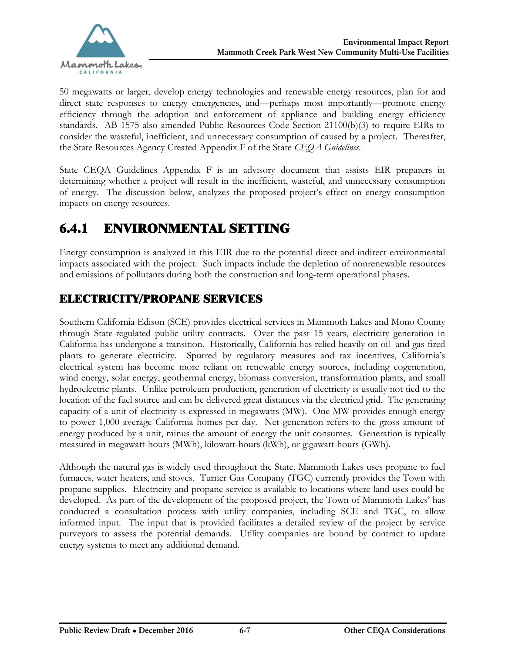

50 megawatts or larger, develop energy technologies and renewable energy resources, plan for and direct state responses to energy emergencies, and—perhaps most importantly—promote energy efficiency through the adoption and enforcement of appliance and building energy efficiency standards. AB 1575 also amended Public Resources Code Section 21100(b)(3) to require EIRs to consider the wasteful, inefficient, and unnecessary consumption of caused by a project. Thereafter, the State Resources Agency Created Appendix F of the State *CEQA Guidelines*.

State CEQA Guidelines Appendix F is an advisory document that assists EIR preparers in determining whether a project will result in the inefficient, wasteful, and unnecessary consumption of energy. The discussion below, analyzes the proposed project's effect on energy consumption impacts on energy resources.

## 6.4.1 ENVIRONMENTAL SETTING

Energy consumption is analyzed in this EIR due to the potential direct and indirect environmental impacts associated with the project. Such impacts include the depletion of nonrenewable resources and emissions of pollutants during both the construction and long-term operational phases.

## ELECTRICITY/PROPANE SERVICES

Southern California Edison (SCE) provides electrical services in Mammoth Lakes and Mono County through State-regulated public utility contracts. Over the past 15 years, electricity generation in California has undergone a transition. Historically, California has relied heavily on oil- and gas-fired plants to generate electricity. Spurred by regulatory measures and tax incentives, California's electrical system has become more reliant on renewable energy sources, including cogeneration, wind energy, solar energy, geothermal energy, biomass conversion, transformation plants, and small hydroelectric plants. Unlike petroleum production, generation of electricity is usually not tied to the location of the fuel source and can be delivered great distances via the electrical grid. The generating capacity of a unit of electricity is expressed in megawatts (MW). One MW provides enough energy to power 1,000 average California homes per day. Net generation refers to the gross amount of energy produced by a unit, minus the amount of energy the unit consumes. Generation is typically measured in megawatt-hours (MWh), kilowatt-hours (kWh), or gigawatt-hours (GWh).

Although the natural gas is widely used throughout the State, Mammoth Lakes uses propane to fuel furnaces, water heaters, and stoves. Turner Gas Company (TGC) currently provides the Town with propane supplies. Electricity and propane service is available to locations where land uses could be developed. As part of the development of the proposed project, the Town of Mammoth Lakes' has conducted a consultation process with utility companies, including SCE and TGC, to allow informed input. The input that is provided facilitates a detailed review of the project by service purveyors to assess the potential demands. Utility companies are bound by contract to update energy systems to meet any additional demand.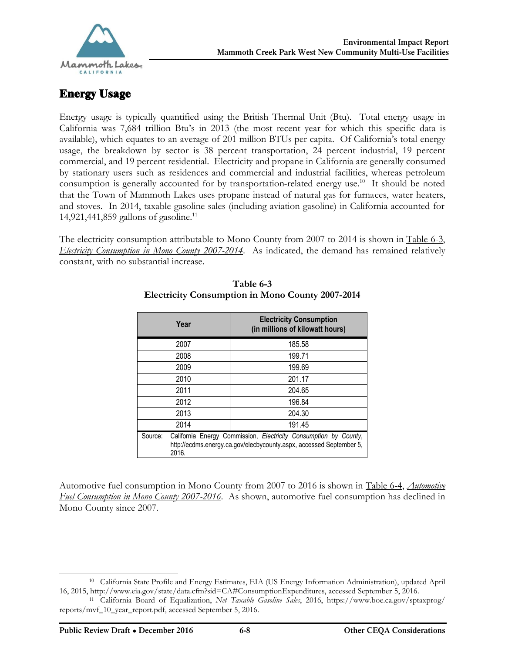

#### Energy Usage

Energy usage is typically quantified using the British Thermal Unit (Btu). Total energy usage in California was 7,684 trillion Btu's in 2013 (the most recent year for which this specific data is available), which equates to an average of 201 million BTUs per capita. Of California's total energy usage, the breakdown by sector is 38 percent transportation, 24 percent industrial, 19 percent commercial, and 19 percent residential. Electricity and propane in California are generally consumed by stationary users such as residences and commercial and industrial facilities, whereas petroleum consumption is generally accounted for by transportation-related energy use.<sup>10</sup> It should be noted that the Town of Mammoth Lakes uses propane instead of natural gas for furnaces, water heaters, and stoves. In 2014, taxable gasoline sales (including aviation gasoline) in California accounted for 14,921,441,859 gallons of gasoline.<sup>11</sup>

The electricity consumption attributable to Mono County from 2007 to 2014 is shown in Table 6-3, *Electricity Consumption in Mono County 2007-2014*. As indicated, the demand has remained relatively constant, with no substantial increase.

|                  | Year | <b>Electricity Consumption</b><br>(in millions of kilowatt hours)                                                                       |
|------------------|------|-----------------------------------------------------------------------------------------------------------------------------------------|
|                  | 2007 | 185.58                                                                                                                                  |
|                  | 2008 | 199.71                                                                                                                                  |
|                  | 2009 | 199.69                                                                                                                                  |
|                  | 2010 | 201.17                                                                                                                                  |
|                  | 2011 | 204.65                                                                                                                                  |
|                  | 2012 | 196.84                                                                                                                                  |
|                  | 2013 | 204.30                                                                                                                                  |
|                  | 2014 | 191.45                                                                                                                                  |
| Source:<br>2016. |      | California Energy Commission, Electricity Consumption by County,<br>http://ecdms.energy.ca.gov/elecbycounty.aspx, accessed September 5, |

#### **Table 6-3 Electricity Consumption in Mono County 2007-2014**

Automotive fuel consumption in Mono County from 2007 to 2016 is shown in Table 6-4, *Automotive Fuel Consumption in Mono County 2007-2016*. As shown, automotive fuel consumption has declined in Mono County since 2007.

 $\overline{a}$ 

<sup>10</sup> California State Profile and Energy Estimates, EIA (US Energy Information Administration), updated April 16, 2015,<http://www.eia.gov/state/data.cfm?sid=CA#ConsumptionExpenditures,>accessed September 5, 2016.

<sup>11</sup> California Board of Equalization, *Net Taxable Gasoline Sales*, 2016, [https://www.boe.ca.gov/sptaxprog/](https://www.boe.ca.gov/sptaxprog/ ) reports/mvf\_10\_year\_report.pdf, accessed September 5, 2016.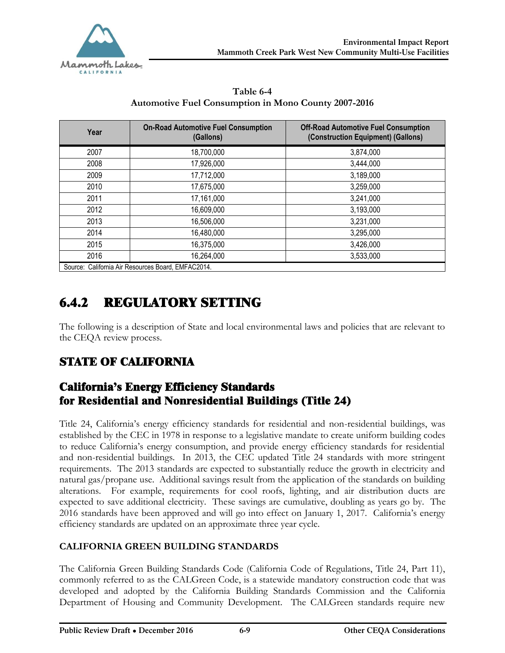

| Table 6-4                                                   |  |
|-------------------------------------------------------------|--|
| <b>Automotive Fuel Consumption in Mono County 2007-2016</b> |  |

| Year | <b>On-Road Automotive Fuel Consumption</b><br>(Gallons) | <b>Off-Road Automotive Fuel Consumption</b><br>(Construction Equipment) (Gallons) |
|------|---------------------------------------------------------|-----------------------------------------------------------------------------------|
| 2007 | 18,700,000                                              | 3,874,000                                                                         |
| 2008 | 17,926,000                                              | 3,444,000                                                                         |
| 2009 | 17,712,000                                              | 3,189,000                                                                         |
| 2010 | 17,675,000                                              | 3,259,000                                                                         |
| 2011 | 17,161,000                                              | 3,241,000                                                                         |
| 2012 | 16,609,000                                              | 3,193,000                                                                         |
| 2013 | 16,506,000                                              | 3,231,000                                                                         |
| 2014 | 16,480,000                                              | 3,295,000                                                                         |
| 2015 | 16,375,000                                              | 3,426,000                                                                         |
| 2016 | 16,264,000                                              | 3,533,000                                                                         |
|      | Source: California Air Resources Board, EMFAC2014.      |                                                                                   |

# 6.4.2 REGULATORY SETTING

The following is a description of State and local environmental laws and policies that are relevant to the CEQA review process.

## STATE OF CALIFORNIA

## California's Energy Efficiency Standards for Residential and Nonresidential Buildings (Title 24)

Title 24, California's energy efficiency standards for residential and non-residential buildings, was established by the CEC in 1978 in response to a legislative mandate to create uniform building codes to reduce California's energy consumption, and provide energy efficiency standards for residential and non-residential buildings. In 2013, the CEC updated Title 24 standards with more stringent requirements. The 2013 standards are expected to substantially reduce the growth in electricity and natural gas/propane use. Additional savings result from the application of the standards on building alterations. For example, requirements for cool roofs, lighting, and air distribution ducts are expected to save additional electricity. These savings are cumulative, doubling as years go by. The 2016 standards have been approved and will go into effect on January 1, 2017. California's energy efficiency standards are updated on an approximate three year cycle.

#### **CALIFORNIA GREEN BUILDING STANDARDS**

The California Green Building Standards Code (California Code of Regulations, Title 24, Part 11), commonly referred to as the CALGreen Code, is a statewide mandatory construction code that was developed and adopted by the California Building Standards Commission and the California Department of Housing and Community Development. The CALGreen standards require new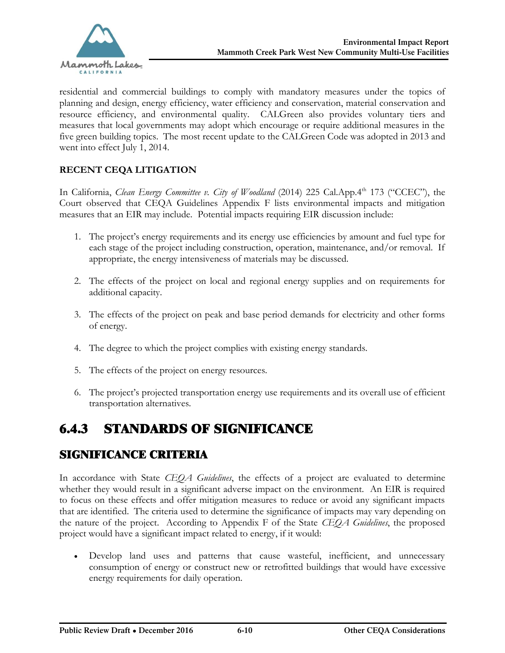

residential and commercial buildings to comply with mandatory measures under the topics of planning and design, energy efficiency, water efficiency and conservation, material conservation and resource efficiency, and environmental quality. CALGreen also provides voluntary tiers and measures that local governments may adopt which encourage or require additional measures in the five green building topics. The most recent update to the CALGreen Code was adopted in 2013 and went into effect July 1, 2014.

#### **RECENT CEQA LITIGATION**

In California, *Clean Energy Committee v. City of Woodland* (2014) 225 Cal.App.4<sup>th</sup> 173 ("CCEC"), the Court observed that CEQA Guidelines Appendix F lists environmental impacts and mitigation measures that an EIR may include. Potential impacts requiring EIR discussion include:

- 1. The project's energy requirements and its energy use efficiencies by amount and fuel type for each stage of the project including construction, operation, maintenance, and/or removal. If appropriate, the energy intensiveness of materials may be discussed.
- 2. The effects of the project on local and regional energy supplies and on requirements for additional capacity.
- 3. The effects of the project on peak and base period demands for electricity and other forms of energy.
- 4. The degree to which the project complies with existing energy standards.
- 5. The effects of the project on energy resources.
- 6. The project's projected transportation energy use requirements and its overall use of efficient transportation alternatives.

## 6.4.3 STANDARDS OF SIGNIFICANCE

#### SIGNIFICANCE CRITERIA

In accordance with State *CEQA Guidelines*, the effects of a project are evaluated to determine whether they would result in a significant adverse impact on the environment. An EIR is required to focus on these effects and offer mitigation measures to reduce or avoid any significant impacts that are identified. The criteria used to determine the significance of impacts may vary depending on the nature of the project. According to Appendix F of the State *CEQA Guidelines*, the proposed project would have a significant impact related to energy, if it would:

· Develop land uses and patterns that cause wasteful, inefficient, and unnecessary consumption of energy or construct new or retrofitted buildings that would have excessive energy requirements for daily operation.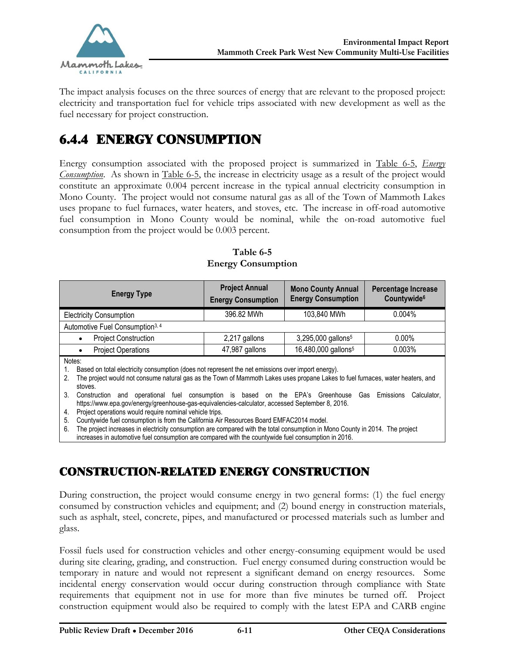

The impact analysis focuses on the three sources of energy that are relevant to the proposed project: electricity and transportation fuel for vehicle trips associated with new development as well as the fuel necessary for project construction.

## 6.4.4 ENERGY CONSUMPTION

Energy consumption associated with the proposed project is summarized in Table 6-5, *Energy Consumption*. As shown in Table 6-5, the increase in electricity usage as a result of the project would constitute an approximate 0.004 percent increase in the typical annual electricity consumption in Mono County. The project would not consume natural gas as all of the Town of Mammoth Lakes uses propane to fuel furnaces, water heaters, and stoves, etc. The increase in off-road automotive fuel consumption in Mono County would be nominal, while the on-road automotive fuel consumption from the project would be 0.003 percent.

| <b>Energy Type</b>                                                                                                                                                                                                                                                                                                                         | <b>Project Annual</b><br><b>Energy Consumption</b> | <b>Mono County Annual</b><br><b>Energy Consumption</b> | Percentage Increase<br>Countywide <sup>6</sup> |
|--------------------------------------------------------------------------------------------------------------------------------------------------------------------------------------------------------------------------------------------------------------------------------------------------------------------------------------------|----------------------------------------------------|--------------------------------------------------------|------------------------------------------------|
| <b>Electricity Consumption</b>                                                                                                                                                                                                                                                                                                             | 396.82 MWh                                         | 103,840 MWh                                            | 0.004%                                         |
| Automotive Fuel Consumption <sup>3, 4</sup>                                                                                                                                                                                                                                                                                                |                                                    |                                                        |                                                |
| <b>Project Construction</b>                                                                                                                                                                                                                                                                                                                | 2,217 gallons                                      | 3,295,000 gallons <sup>5</sup>                         | $0.00\%$                                       |
| <b>Project Operations</b>                                                                                                                                                                                                                                                                                                                  | 47,987 gallons                                     | 16,480,000 gallons <sup>5</sup>                        | 0.003%                                         |
| Notes:<br>Based on total electricity consumption (does not represent the net emissions over import energy).<br>The project would not consume natural gas as the Town of Mammoth Lakes uses propane Lakes to fuel furnaces, water heaters, and<br>2.<br>stoves.                                                                             |                                                    |                                                        |                                                |
| 3.<br>operational fuel consumption is based on the EPA's Greenhouse Gas<br>Emissions<br>Calculator,<br>Construction<br>and<br>https://www.epa.gov/energy/greenhouse-gas-equivalencies-calculator, accessed September 8, 2016.                                                                                                              |                                                    |                                                        |                                                |
| Project operations would require nominal vehicle trips.<br>4.                                                                                                                                                                                                                                                                              |                                                    |                                                        |                                                |
| Countywide fuel consumption is from the California Air Resources Board EMFAC2014 model.<br>5.<br>6.<br>The project increases in electricity consumption are compared with the total consumption in Mono County in 2014. The project<br>increases in automotive fuel consumption are compared with the countywide fuel consumption in 2016. |                                                    |                                                        |                                                |

**Table 6-5 Energy Consumption**

## CONSTRUCTION-RELATED ENERGY CONSTRUCTION

During construction, the project would consume energy in two general forms: (1) the fuel energy consumed by construction vehicles and equipment; and (2) bound energy in construction materials, such as asphalt, steel, concrete, pipes, and manufactured or processed materials such as lumber and glass.

Fossil fuels used for construction vehicles and other energy-consuming equipment would be used during site clearing, grading, and construction. Fuel energy consumed during construction would be temporary in nature and would not represent a significant demand on energy resources. Some incidental energy conservation would occur during construction through compliance with State requirements that equipment not in use for more than five minutes be turned off. Project construction equipment would also be required to comply with the latest EPA and CARB engine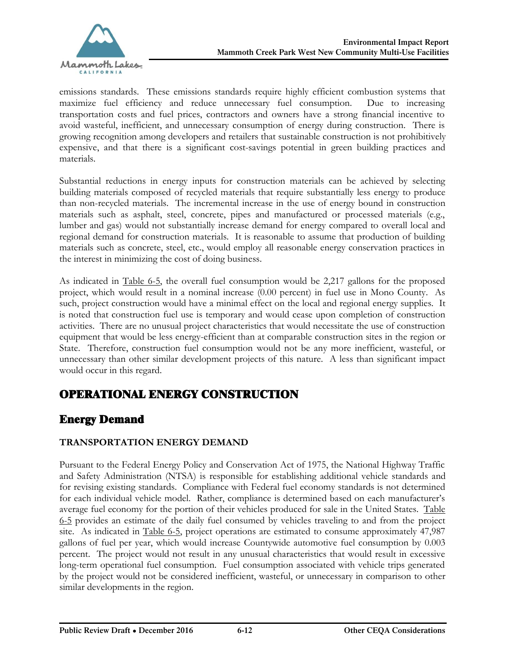

emissions standards. These emissions standards require highly efficient combustion systems that maximize fuel efficiency and reduce unnecessary fuel consumption. Due to increasing transportation costs and fuel prices, contractors and owners have a strong financial incentive to avoid wasteful, inefficient, and unnecessary consumption of energy during construction. There is growing recognition among developers and retailers that sustainable construction is not prohibitively expensive, and that there is a significant cost-savings potential in green building practices and materials.

Substantial reductions in energy inputs for construction materials can be achieved by selecting building materials composed of recycled materials that require substantially less energy to produce than non-recycled materials. The incremental increase in the use of energy bound in construction materials such as asphalt, steel, concrete, pipes and manufactured or processed materials (e.g., lumber and gas) would not substantially increase demand for energy compared to overall local and regional demand for construction materials. It is reasonable to assume that production of building materials such as concrete, steel, etc., would employ all reasonable energy conservation practices in the interest in minimizing the cost of doing business.

As indicated in Table 6-5, the overall fuel consumption would be 2,217 gallons for the proposed project, which would result in a nominal increase (0.00 percent) in fuel use in Mono County. As such, project construction would have a minimal effect on the local and regional energy supplies. It is noted that construction fuel use is temporary and would cease upon completion of construction activities. There are no unusual project characteristics that would necessitate the use of construction equipment that would be less energy-efficient than at comparable construction sites in the region or State. Therefore, construction fuel consumption would not be any more inefficient, wasteful, or unnecessary than other similar development projects of this nature. A less than significant impact would occur in this regard.

## OPERATIONAL ENERGY CONSTRUCTION

## Energy Demand

#### **TRANSPORTATION ENERGY DEMAND**

Pursuant to the Federal Energy Policy and Conservation Act of 1975, the National Highway Traffic and Safety Administration (NTSA) is responsible for establishing additional vehicle standards and for revising existing standards. Compliance with Federal fuel economy standards is not determined for each individual vehicle model. Rather, compliance is determined based on each manufacturer's average fuel economy for the portion of their vehicles produced for sale in the United States. Table 6-5 provides an estimate of the daily fuel consumed by vehicles traveling to and from the project site. As indicated in Table 6-5, project operations are estimated to consume approximately 47,987 gallons of fuel per year, which would increase Countywide automotive fuel consumption by 0.003 percent. The project would not result in any unusual characteristics that would result in excessive long-term operational fuel consumption. Fuel consumption associated with vehicle trips generated by the project would not be considered inefficient, wasteful, or unnecessary in comparison to other similar developments in the region.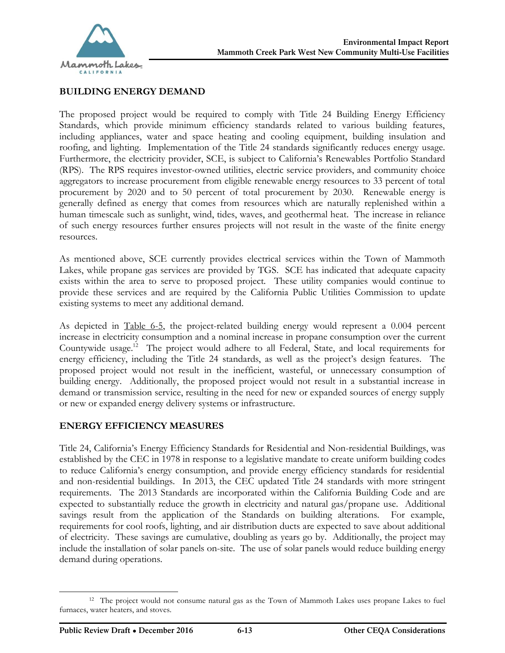

#### **BUILDING ENERGY DEMAND**

The proposed project would be required to comply with Title 24 Building Energy Efficiency Standards, which provide minimum efficiency standards related to various building features, including appliances, water and space heating and cooling equipment, building insulation and roofing, and lighting. Implementation of the Title 24 standards significantly reduces energy usage. Furthermore, the electricity provider, SCE, is subject to California's Renewables Portfolio Standard (RPS). The RPS requires investor-owned utilities, electric service providers, and community choice aggregators to increase procurement from eligible renewable energy resources to 33 percent of total procurement by 2020 and to 50 percent of total procurement by 2030. Renewable energy is generally defined as energy that comes from resources which are naturally replenished within a human timescale such as sunlight, wind, tides, waves, and geothermal heat. The increase in reliance of such energy resources further ensures projects will not result in the waste of the finite energy resources.

As mentioned above, SCE currently provides electrical services within the Town of Mammoth Lakes, while propane gas services are provided by TGS. SCE has indicated that adequate capacity exists within the area to serve to proposed project. These utility companies would continue to provide these services and are required by the California Public Utilities Commission to update existing systems to meet any additional demand.

As depicted in Table 6-5, the project-related building energy would represent a 0.004 percent increase in electricity consumption and a nominal increase in propane consumption over the current Countywide usage.<sup>12</sup> The project would adhere to all Federal, State, and local requirements for energy efficiency, including the Title 24 standards, as well as the project's design features. The proposed project would not result in the inefficient, wasteful, or unnecessary consumption of building energy. Additionally, the proposed project would not result in a substantial increase in demand or transmission service, resulting in the need for new or expanded sources of energy supply or new or expanded energy delivery systems or infrastructure.

#### **ENERGY EFFICIENCY MEASURES**

Title 24, California's Energy Efficiency Standards for Residential and Non-residential Buildings, was established by the CEC in 1978 in response to a legislative mandate to create uniform building codes to reduce California's energy consumption, and provide energy efficiency standards for residential and non-residential buildings. In 2013, the CEC updated Title 24 standards with more stringent requirements. The 2013 Standards are incorporated within the California Building Code and are expected to substantially reduce the growth in electricity and natural gas/propane use. Additional savings result from the application of the Standards on building alterations. For example, requirements for cool roofs, lighting, and air distribution ducts are expected to save about additional of electricity. These savings are cumulative, doubling as years go by. Additionally, the project may include the installation of solar panels on-site. The use of solar panels would reduce building energy demand during operations.

<sup>12</sup> The project would not consume natural gas as the Town of Mammoth Lakes uses propane Lakes to fuel furnaces, water heaters, and stoves.